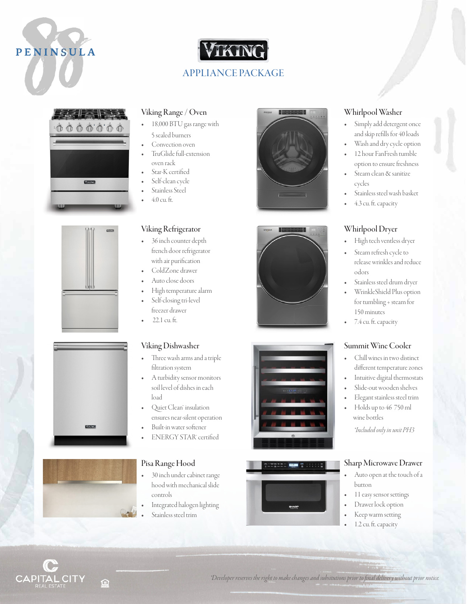











#### Viking Range / Oven

- 18,000 BTU gas range with 5 sealed burners
- Convection oven
- TruGlide full-extension
- oven rack Star-K certified
- Self-clean cycle
- Stainless Steel
- 4.0 cu. ft.

#### Viking Refrigerator

- 36 inch counter depth french door refrigerator with air purification
- ColdZone drawer
- Auto close doors
- High temperature alarm
- Self-closing tri-level
- freezer drawer
- 22.1 cu. ft.

#### Viking Dishwasher

- Three wash arms and a triple filtration system
- A turbidity sensor monitors soil level of dishes in each load
- Quiet Clean™ insulation ensures near-silent operation
- Built-in water softener
- **ENERGY STAR**' certified

#### Pisa Range Hood

- 30 inch under cabinet range hood with mechanical slide controls
- Integrated halogen lighting
	- Stainless steel trim









#### Whirlpool Washer

- Simply add detergent once and skip refills for 40 loads
- Wash and dry cycle option
- 12 hour FanFresh tumble option to ensure freshness
- Steam clean & sanitize cycles
- Stainless steel wash basket
- 4.3 cu. ft. capacity

#### Whirlpool Dryer

- High tech ventless dryer
- Steam refresh cycle to release wrinkles and reduce odors
- Stainless steel drum dryer
- WrinkleShield Plus option for tumbling + steam for 150 minutes
- 7.4 cu. ft. capacity

#### Summit Wine Cooler

- Chill wines in two distinct different temperature zones
- Intuitive digital thermostats
- Slide-out wooden shelves
- Elegant stainless steel trim
- Holds up to 46 750 ml wine bottles

*\*Included only in unit PH3*

#### Sharp Microwave Drawer

- Auto open at the touch of a button
- 11 easy sensor settings
- Drawer lock option
- Keep warm setting
- 1.2 cu. ft. capacity



*\*Developer reserves the right to make changes and subsitutions prior to final delivery without prior notice.*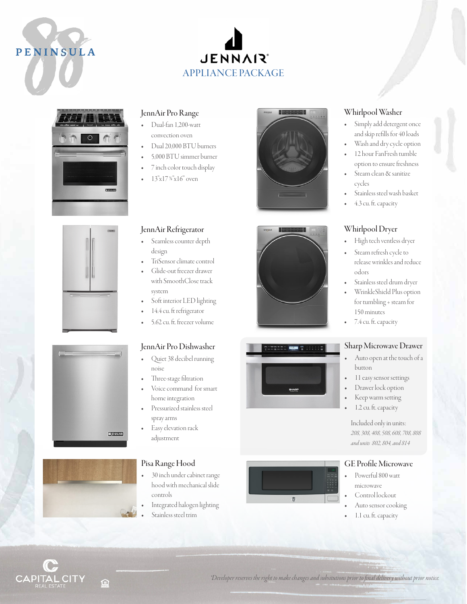# PENINSULA **PENIN ULA**

### **JENNAIR** APPLIANCE PACKAGE









#### JennAir Pro Range

- Dual-fan 1,200-watt convection oven
- Dual 20,000 BTU burners
- 5,000 BTU simmer burner
- 7 inch color touch display
- 13"x17 %"x16" oven

#### JennAir Refrigerator

- Seamless counter depth design
- TriSensor climate control
- Glide-out freezer drawer
- with SmoothClose track system Soft interior LED lighting
- 14.4 cu. ft refrigerator
- 5.62 cu. ft. freezer volume

#### JennAir Pro Dishwasher

- Quiet 38 decibel running noise
- Three-stage filtration
- Voice command for smart home integration
- Pressurized stainless steel spray arms
- Easy elevation rack adjustment

#### Pisa Range Hood

- 30 inch under cabinet range hood with mechanical slide controls
- Integrated halogen lighting
	- Stainless steel trim







#### Whirlpool Washer

- Simply add detergent once and skip refills for 40 loads
- Wash and dry cycle option
- 12 hour FanFresh tumble option to ensure freshness
- Steam clean & sanitize cycles
- Stainless steel wash basket
- 4.3 cu. ft. capacity

#### Whirlpool Dryer

- High tech ventless dryer
- Steam refresh cycle to release wrinkles and reduce odors
- Stainless steel drum dryer
- WrinkleShield Plus option for tumbling + steam for 150 minutes
- 7.4 cu. ft. capacity

#### Sharp Microwave Drawer

- Auto open at the touch of a button
- 11 easy sensor settings
- Drawer lock option
- Keep warm setting
- 1.2 cu. ft. capacity

Included only in units: *208, 308, 408, 508, 608, 708, 808 and units 802, 804, and 814*

#### GE Profile Microwave

- Powerful 800 watt microwave
	- Control lockout
- Auto sensor cooking
- 1.1 cu. ft. capacity